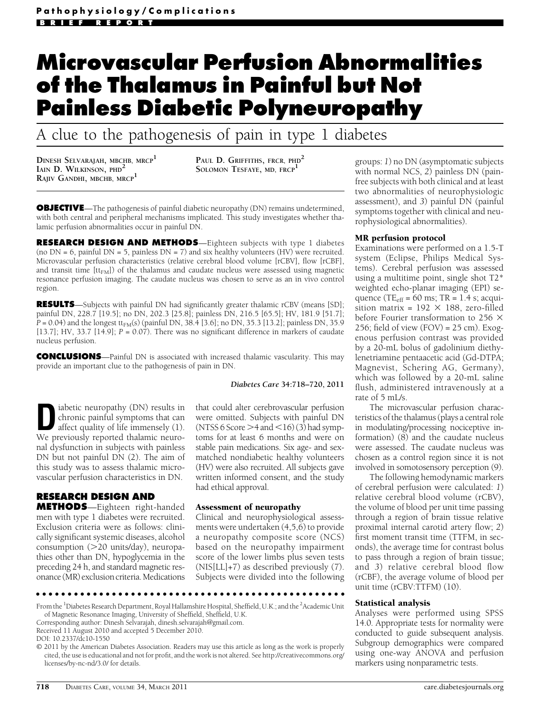# Microvascular Perfusion Abnormalities of the Thalamus in Painful but Not Painless Diabetic Polyneuropathy

A clue to the pathogenesis of pain in type 1 diabetes

DINESH SELVARAJAH, MBCHB, MRCP<sup>1</sup> IAIN D. WILKINSON, PHD<sup>2</sup> RAJIV GANDHI, MBCHB, MRCP<sup>1</sup>

PAUL D. GRIFFITHS, FRCR, PHD<sup>2</sup> SOLOMON TESFAYE, MD, FRCP<sup>1</sup>

**OBJECTIVE**—The pathogenesis of painful diabetic neuropathy (DN) remains undetermined, with both central and peripheral mechanisms implicated. This study investigates whether thalamic perfusion abnormalities occur in painful DN.

RESEARCH DESIGN AND METHODS-Eighteen subjects with type 1 diabetes (no  $DN = 6$ , painful  $DN = 5$ , painless  $DN = 7$ ) and six healthy volunteers (HV) were recruited. Microvascular perfusion characteristics (relative cerebral blood volume [rCBV], flow [rCBF], and transit time  $[\text{tt}_{FM}]$ ) of the thalamus and caudate nucleus were assessed using magnetic resonance perfusion imaging. The caudate nucleus was chosen to serve as an in vivo control region.

RESULTS-Subjects with painful DN had significantly greater thalamic rCBV (means [SD]; painful DN, 228.7 [19.5]; no DN, 202.3 [25.8]; painless DN, 216.5 [65.5]; HV, 181.9 [51.7];  $P = 0.04$ ) and the longest tt<sub>FM</sub>(s) (painful DN, 38.4 [3.6]; no DN, 35.3 [13.2]; painless DN, 35.9 [13.7]; HV, 33.7 [14.9];  $P = 0.07$ ). There was no significant difference in markers of caudate nucleus perfusion.

CONCLUSIONS—Painful DN is associated with increased thalamic vascularity. This may provide an important clue to the pathogenesis of pain in DN.

## Diabetes Care 34:718–720, 2011

**D** iabetic neuropathy (DN) results in chronic painful symptoms that can affect quality of life immensely (1). chronic painful symptoms that can We previously reported thalamic neuronal dysfunction in subjects with painless DN but not painful DN (2). The aim of this study was to assess thalamic microvascular perfusion characteristics in DN.

# RESEARCH DESIGN AND

METHODS—Eighteen right-handed men with type 1 diabetes were recruited. Exclusion criteria were as follows: clinically significant systemic diseases, alcohol consumption  $(>20 \text{ units/day})$ , neuropathies other than DN, hypoglycemia in the preceding 24 h, and standard magnetic resonance (MR) exclusion criteria.Medications

that could alter cerebrovascular perfusion were omitted. Subjects with painful DN (NTSS 6 Score  $>$  4 and  $<$  16) (3) had symptoms for at least 6 months and were on stable pain medications. Six age- and sexmatched nondiabetic healthy volunteers (HV) were also recruited. All subjects gave written informed consent, and the study had ethical approval.

Assessment of neuropathy Clinical and neurophysiological assessments were undertaken (4,5,6) to provide a neuropathy composite score (NCS) based on the neuropathy impairment score of the lower limbs plus seven tests (NIS[LL]+7) as described previously (7). Subjects were divided into the following

ccccccccccccccccccccccccccccccccccccccccccccccccc

From the <sup>1</sup>Diabetes Research Department, Royal Hallamshire Hospital, Sheffield, U.K.; and the <sup>2</sup>Academic Unit of Magnetic Resonance Imaging, University of Sheffield, Sheffield, U.K.

Corresponding author: Dinesh Selvarajah, dinesh.selvarajah@gmail.com.

Received 11 August 2010 and accepted 5 December 2010.

groups: 1) no DN (asymptomatic subjects with normal NCS, 2) painless DN (painfree subjects with both clinical and at least two abnormalities of neurophysiologic assessment), and 3) painful DN (painful symptoms together with clinical and neurophysiological abnormalities).

Examinations were performed on a 1.5-T system (Eclipse, Philips Medical Systems). Cerebral perfusion was assessed using a multitime point, single shot T2\* weighted echo-planar imaging (EPI) sequence (TE<sub>eff</sub> =  $60$  ms; TR =  $1.4$  s; acquisition matrix =  $192 \times 188$ , zero-filled before Fourier transformation to 256  $\times$ 256; field of view  $(FOV) = 25$  cm). Exogenous perfusion contrast was provided by a 20-mL bolus of gadolinium diethylenetriamine pentaacetic acid (Gd-DTPA; Magnevist, Schering AG, Germany), which was followed by a 20-mL saline flush, administered intravenously at a rate of 5 mL/s.

The microvascular perfusion characteristics of the thalamus (plays a central role in modulating/processing nociceptive information) (8) and the caudate nucleus were assessed. The caudate nucleus was chosen as a control region since it is not involved in somotosensory perception (9).

The following hemodynamic markers of cerebral perfusion were calculated: 1) relative cerebral blood volume (rCBV), the volume of blood per unit time passing through a region of brain tissue relative proximal internal carotid artery flow; 2) first moment transit time (TTFM, in seconds), the average time for contrast bolus to pass through a region of brain tissue; and 3) relative cerebral blood flow (rCBF), the average volume of blood per unit time (rCBV:TTFM) (10).

Analyses were performed using SPSS 14.0. Appropriate tests for normality were conducted to guide subsequent analysis. Subgroup demographics were compared using one-way ANOVA and perfusion markers using nonparametric tests.

DOI: 10.2337/dc10-1550

<sup>© 2011</sup> by the American Diabetes Association. Readers may use this article as long as the work is properly cited, the use is educational and not for profit, and the work is not altered. See http://creativecommons.org/ licenses/by-nc-nd/3.0/ for details.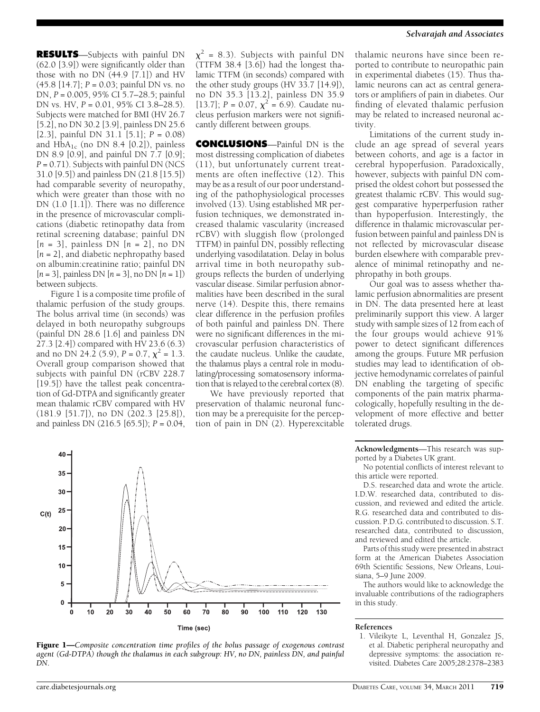RESULTS—Subjects with painful DN (62.0 [3.9]) were significantly older than those with no DN (44.9 [7.1]) and HV  $(45.8 \, [14.7]; P = 0.03;$  painful DN vs. no DN, P = 0.005, 95% CI 5.7–28.5; painful DN vs. HV, P = 0.01, 95% CI 3.8–28.5). Subjects were matched for BMI (HV 26.7 [5.2], no DN 30.2 [3.9], painless DN 25.6 [2.3], painful DN 31.1 [5.1];  $P = 0.08$ ) and  $HbA_{1c}$  (no DN 8.4 [0.2]), painless DN 8.9 [0.9], and painful DN 7.7 [0.9];  $P = 0.71$ ). Subjects with painful DN (NCS 31.0 [9.5]) and painless DN (21.8 [15.5]) had comparable severity of neuropathy, which were greater than those with no DN (1.0 [1.1]). There was no difference in the presence of microvascular complications (diabetic retinopathy data from retinal screening database; painful DN  $[n = 3]$ , painless DN  $[n = 2]$ , no DN  $[n = 2]$ , and diabetic nephropathy based on albumin:creatinine ratio; painful DN  $[n = 3]$ , painless DN  $[n = 3]$ , no DN  $[n = 1]$ ) between subjects.

Figure 1 is a composite time profile of thalamic perfusion of the study groups. The bolus arrival time (in seconds) was delayed in both neuropathy subgroups (painful DN 28.6 [1.6] and painless DN 27.3 [2.4]) compared with HV 23.6 (6.3) and no DN 24.2 (5.9),  $P = 0.7$ ,  $\chi^2 = 1.3$ . Overall group comparison showed that subjects with painful DN (rCBV 228.7 [19.5]) have the tallest peak concentration of Gd-DTPA and significantly greater mean thalamic rCBV compared with HV (181.9 [51.7]), no DN (202.3 [25.8]), and painless DN (216.5 [65.5]); P = 0.04,

 $\chi^2$  = 8.3). Subjects with painful DN (TTFM 38.4 [3.6]) had the longest thalamic TTFM (in seconds) compared with the other study groups (HV 33.7 [14.9]), no DN 35.3 [13.2], painless DN 35.9 [13.7];  $P = 0.07$ ,  $\chi^2 = 6.9$ ). Caudate nucleus perfusion markers were not significantly different between groups.

CONCLUSIONS—Painful DN is the most distressing complication of diabetes (11), but unfortunately current treatments are often ineffective (12). This may be as a result of our poor understanding of the pathophysiological processes involved (13). Using established MR perfusion techniques, we demonstrated increased thalamic vascularity (increased rCBV) with sluggish flow (prolonged TTFM) in painful DN, possibly reflecting underlying vasodilatation. Delay in bolus arrival time in both neuropathy subgroups reflects the burden of underlying vascular disease. Similar perfusion abnormalities have been described in the sural nerve (14). Despite this, there remains clear difference in the perfusion profiles of both painful and painless DN. There were no significant differences in the microvascular perfusion characteristics of the caudate nucleus. Unlike the caudate, the thalamus plays a central role in modulating/processing somatosensory information that is relayed to the cerebral cortex (8).

We have previously reported that preservation of thalamic neuronal function may be a prerequisite for the perception of pain in DN (2). Hyperexcitable



thalamic neurons have since been reported to contribute to neuropathic pain in experimental diabetes (15). Thus thalamic neurons can act as central generators or amplifiers of pain in diabetes. Our finding of elevated thalamic perfusion may be related to increased neuronal activity.

Limitations of the current study include an age spread of several years between cohorts, and age is a factor in cerebral hypoperfusion. Paradoxically, however, subjects with painful DN comprised the oldest cohort but possessed the greatest thalamic rCBV. This would suggest comparative hyperperfusion rather than hypoperfusion. Interestingly, the difference in thalamic microvascular perfusion between painful and painless DN is not reflected by microvascular disease burden elsewhere with comparable prevalence of minimal retinopathy and nephropathy in both groups.

Our goal was to assess whether thalamic perfusion abnormalities are present in DN. The data presented here at least preliminarily support this view. A larger study with sample sizes of 12 from each of the four groups would achieve 91% power to detect significant differences among the groups. Future MR perfusion studies may lead to identification of objective hemodynamic correlates of painful DN enabling the targeting of specific components of the pain matrix pharmacologically, hopefully resulting in the development of more effective and better tolerated drugs.

Acknowledgments—This research was supported by a Diabetes UK grant.

No potential conflicts of interest relevant to this article were reported.

D.S. researched data and wrote the article. I.D.W. researched data, contributed to discussion, and reviewed and edited the article. R.G. researched data and contributed to discussion. P.D.G. contributed to discussion. S.T. researched data, contributed to discussion, and reviewed and edited the article.

Parts of this study were presented in abstract form at the American Diabetes Association 69th Scientific Sessions, New Orleans, Louisiana, 5–9 June 2009.

The authors would like to acknowledge the invaluable contributions of the radiographers in this study.

## References

1. Vileikyte L, Leventhal H, Gonzalez JS, et al. Diabetic peripheral neuropathy and depressive symptoms: the association revisited. Diabetes Care 2005;28:2378–2383

40 35 30 25 20 15  $10<sub>1</sub>$  ${\bf 5}$ 0  $10$ 20 30 40 50 60 70 80 90 100 110 130  $\bf{0}$ 120

**Figure 1—Composite concentration time profiles of the bolus passage of exogenous contrast** 

 $C(t)$ Time (sec)